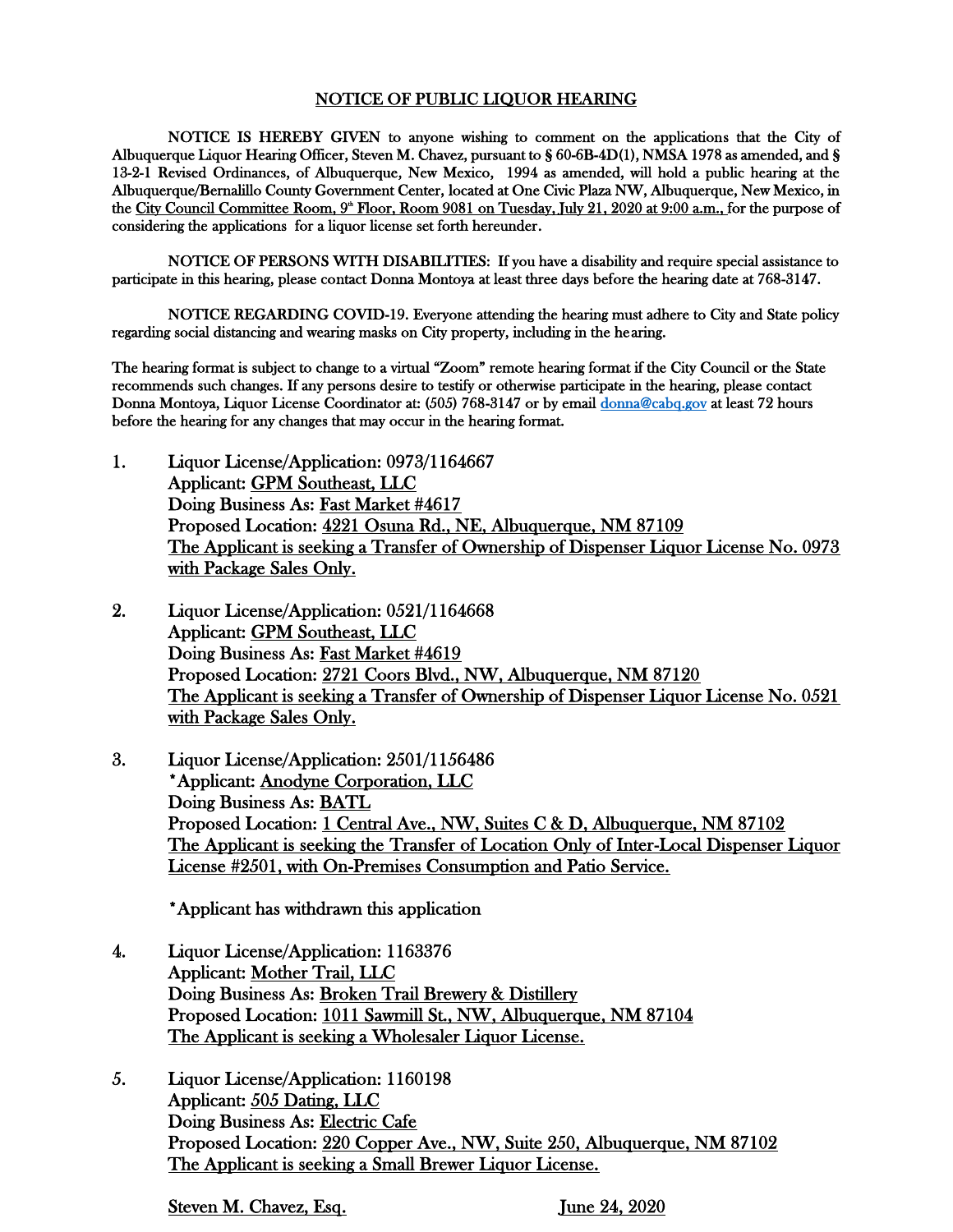## NOTICE OF PUBLIC LIQUOR HEARING

NOTICE IS HEREBY GIVEN to anyone wishing to comment on the applications that the City of Albuquerque Liquor Hearing Officer, Steven M. Chavez, pursuant to § 60-6B-4D(1), NMSA 1978 as amended, and § 13-2-1 Revised Ordinances, of Albuquerque, New Mexico, 1994 as amended, will hold a public hearing at the Albuquerque/Bernalillo County Government Center, located at One Civic Plaza NW, Albuquerque, New Mexico, in the City Council Committee Room, 9<sup>\*</sup> Floor, Room 9081 on Tuesday, July 21, 2020 at 9:00 a.m., for the purpose of considering the applications for a liquor license set forth hereunder.

NOTICE OF PERSONS WITH DISABILITIES: If you have a disability and require special assistance to participate in this hearing, please contact Donna Montoya at least three days before the hearing date at 768-3147.

NOTICE REGARDING COVID-19. Everyone attending the hearing must adhere to City and State policy regarding social distancing and wearing masks on City property, including in the hearing.

The hearing format is subject to change to a virtual "Zoom" remote hearing format if the City Council or the State recommends such changes. If any persons desire to testify or otherwise participate in the hearing, please contact Donna Montoya, Liquor License Coordinator at: (505) 768-3147 or by email [donna@cabq.gov](mailto:donna@cabq.gov) at least 72 hours before the hearing for any changes that may occur in the hearing format.

- 1. Liquor License/Application: 0973/1164667 Applicant: GPM Southeast, LLC Doing Business As: Fast Market #4617 Proposed Location: 4221 Osuna Rd., NE, Albuquerque, NM 87109 The Applicant is seeking a Transfer of Ownership of Dispenser Liquor License No. 0973 with Package Sales Only.
- 2. Liquor License/Application: 0521/1164668 Applicant: GPM Southeast, LLC Doing Business As: Fast Market #4619 Proposed Location: 2721 Coors Blvd., NW, Albuquerque, NM 87120 The Applicant is seeking a Transfer of Ownership of Dispenser Liquor License No. 0521 with Package Sales Only.
- 3. Liquor License/Application: 2501/1156486 \*Applicant: Anodyne Corporation, LLC Doing Business As: BATL Proposed Location: 1 Central Ave., NW, Suites C & D, Albuquerque, NM 87102 The Applicant is seeking the Transfer of Location Only of Inter-Local Dispenser Liquor License #2501, with On-Premises Consumption and Patio Service.

\*Applicant has withdrawn this application

- 4. Liquor License/Application: 1163376 Applicant: Mother Trail, LLC Doing Business As: Broken Trail Brewery & Distillery Proposed Location: 1011 Sawmill St., NW, Albuquerque, NM 87104 The Applicant is seeking a Wholesaler Liquor License.
- 5. Liquor License/Application: 1160198 Applicant: 505 Dating, LLC Doing Business As: Electric Cafe Proposed Location: 220 Copper Ave., NW, Suite 250, Albuquerque, NM 87102 The Applicant is seeking a Small Brewer Liquor License.

Steven M. Chavez, Esq. June 24, 2020